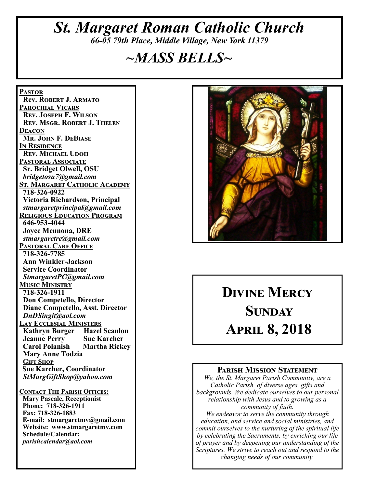## *St. Margaret Roman Catholic Church 66-05 79th Place, Middle Village, New York 11379*

## *~MASS BELLS~*

**Pastor Rev. Robert J. Armato Parochial Vicars Rev. Joseph F. Wilson Rev. Msgr. Robert J. Thelen Deacon Mr. John F. DeBiase In Residence Rev. Michael Udoh Pastoral Associate Sr. Bridget Olwell, OSU**  *bridgetosu7@gmail.com* **St. Margaret Catholic Academy 718-326-0922 Victoria Richardson, Principal**  *stmargaretprincipal@gmail.com* **Religious Education Program 646-953-4044 Joyce Mennona, DRE** *stmargaretre@gmail.com* **Pastoral Care Office 718-326-7785 Ann Winkler-Jackson Service Coordinator** *StmargaretPC@gmail.com* **Music Ministry 718-326-1911 Don Competello, Director Diane Competello, Asst. Director** *DnDSingit@aol.com* **Lay Ecclesial Ministers Kathryn Burger Hazel Scanlon<br>Jeanne Perry Sue Karcher Jeanne Perry Carol Polanish Martha Rickey Mary Anne Todzia Gift Shop Sue Karcher, Coordinator** *StMargGiftShop@yahoo.com* **Contact The Parish Offices: Mary Pascale, Receptionist Phone: 718-326-1911 Fax: 718-326-1883 E-mail: stmargaretmv@gmail.com Website: www.stmargaretmv.com Schedule/Calendar:** *parishcalendar@aol.com* 



# **Divine Mercy Sunday April 8, 2018**

#### **Parish Mission Statement**

*We, the St. Margaret Parish Community, are a Catholic Parish of diverse ages, gifts and backgrounds. We dedicate ourselves to our personal relationship with Jesus and to growing as a community of faith.*

*We endeavor to serve the community through education, and service and social ministries, and commit ourselves to the nurturing of the spiritual life by celebrating the Sacraments, by enriching our life of prayer and by deepening our understanding of the Scriptures. We strive to reach out and respond to the changing needs of our community.*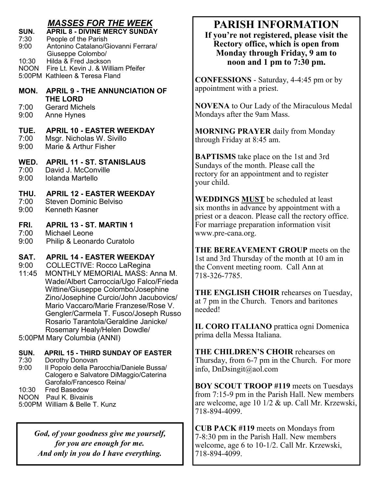#### *MASSES FOR THE WEEK*

| SUN.        | <b>APRIL 8 - DIVINE MERCY SUNDAY</b> |
|-------------|--------------------------------------|
| 7:30        | People of the Parish                 |
| 9:00        | Antonino Catalano/Giovanni Ferrara/  |
|             | Giuseppe Colombo/                    |
| 10:30       | Hilda & Fred Jackson                 |
| <b>NOON</b> | Fire Lt. Kevin J. & William Pfeifer  |
|             | 5:00PM Kathleen & Teresa Fland       |
|             |                                      |
| MON.        | <b>APRIL 9 - THE ANNUNCIATION OF</b> |
|             | <b>THE LORD</b>                      |
| 7:00        | <b>Gerard Michels</b>                |
| 9:00        | <b>Anne Hynes</b>                    |
|             |                                      |

## **TUE. APRIL 10 - EASTER WEEKDAY**<br>7:00 Msgr Nicholas W Sivillo

- 7:00 Msgr. Nicholas W. Sivillo<br>9:00 Marie & Arthur Fisher
- Marie & Arthur Fisher

**WED. APRIL 11 - ST. STANISLAUS**

- 7:00 David J. McConville
- 9:00 Iolanda Martello

#### **THU. APRIL 12 - EASTER WEEKDAY**

- 7:00 Steven Dominic Belviso
- 9:00 Kenneth Kasner

#### **FRI. APRIL 13 - ST. MARTIN 1**

- 7:00 Michael Leone
- 9:00 Philip & Leonardo Curatolo

#### **SAT. APRIL 14 - EASTER WEEKDAY**

9:00 COLLECTIVE: Rocco LaRegina

- 11:45 MONTHLY MEMORIAL MASS: Anna M. Wade/Albert Carroccia/Ugo Falco/Frieda Wittine/Giuseppe Colombo/Josephine Zino/Josephine Curcio/John Jacubovics/ Mario Vaccaro/Marie Franzese/Rose V. Gengler/Carmela T. Fusco/Joseph Russo Rosario Tarantola/Geraldine Janicke/ Rosemary Healy/Helen Dowdle/
- 5:00PM Mary Columbia (ANNI)

#### **SUN. APRIL 15 - THIRD SUNDAY OF EASTER**

- 7:30 Dorothy Donovan
- 9:00 Il Popolo della Parocchia/Daniele Bussa/ Calogero e Salvatore DiMaggio/Caterina Garofalo/Francesco Reina/
- 10:30 Fred Basedow
- NOON Paul K. Bivainis
- 5:00PM William & Belle T. Kunz

*God, of your goodness give me yourself, for you are enough for me. And only in you do I have everything.*

## **PARISH INFORMATION**

**If you're not registered, please visit the Rectory office, which is open from Monday through Friday, 9 am to noon and 1 pm to 7:30 pm.**

**CONFESSIONS** - Saturday, 4-4:45 pm or by appointment with a priest.

**NOVENA** to Our Lady of the Miraculous Medal Mondays after the 9am Mass.

**MORNING PRAYER** daily from Monday through Friday at 8:45 am.

**BAPTISMS** take place on the 1st and 3rd Sundays of the month. Please call the rectory for an appointment and to register your child.

**WEDDINGS MUST** be scheduled at least six months in advance by appointment with a priest or a deacon. Please call the rectory office. For marriage preparation information visit www.pre-cana.org.

**THE BEREAVEMENT GROUP** meets on the 1st and 3rd Thursday of the month at 10 am in the Convent meeting room. Call Ann at 718-326-7785.

**THE ENGLISH CHOIR** rehearses on Tuesday, at 7 pm in the Church. Tenors and baritones needed!

**IL CORO ITALIANO** prattica ogni Domenica prima della Messa Italiana.

**THE CHILDREN'S CHOIR** rehearses on Thursday, from 6-7 pm in the Church. For more info, DnDsingit@aol.com

**BOY SCOUT TROOP #119** meets on Tuesdays from 7:15-9 pm in the Parish Hall. New members are welcome, age 10 1/2 & up. Call Mr. Krzewski, 718-894-4099.

**CUB PACK #119** meets on Mondays from 7-8:30 pm in the Parish Hall. New members welcome, age 6 to 10-1/2. Call Mr. Krzewski, 718-894-4099.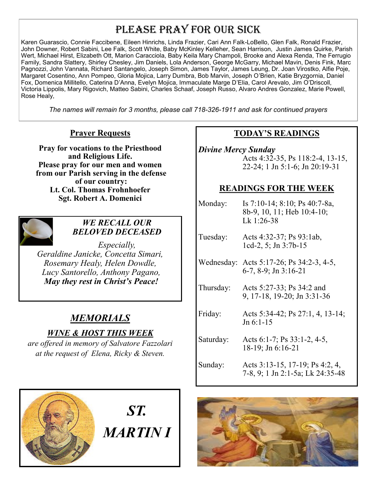## PLEASE PRAY FOR OUR SICK

Karen Guarascio, Connie Faccibene, Eileen Hinrichs, Linda Frazier, Cari Ann Falk-LoBello, Glen Falk, Ronald Frazier, John Downer, Robert Sabini, Lee Falk, Scott White, Baby McKinley Kelleher, Sean Harrison, Justin James Quirke, Parish Wert, Michael Hirst, Elizabeth Ott, Marion Caracciola, Baby Keila Mary Champoli, Brooke and Alexa Renda, The Ferrugio Family, Sandra Slattery, Shirley Chesley, Jim Daniels, Lola Anderson, George McGarry, Michael Mavin, Denis Fink, Marc Pagnozzi, John Vannata, Richard Santangelo, Joseph Simon, James Taylor, James Leung, Dr. Joan Virostko, Alfie Poje, Margaret Cosentino, Ann Pompeo, Gloria Mojica, Larry Dumbra, Bob Marvin, Joseph O'Brien, Katie Bryzgornia, Daniel Fox, Domenica Millitello, Caterina D'Anna, Evelyn Mojica, Immaculate Marge D'Elia, Carol Arevalo, Jim O'Driscoll, Victoria Lippolis, Mary Rigovich, Matteo Sabini, Charles Schaaf, Joseph Russo, Alvaro Andres Gonzalez, Marie Powell, Rose Healy,

*The names will remain for 3 months, please call 718-326-1911 and ask for continued prayers*

#### **Prayer Requests**

**Pray for vocations to the Priesthood and Religious Life. Please pray for our men and women from our Parish serving in the defense of our country: Lt. Col. Thomas Frohnhoefer Sgt. Robert A. Domenici** 



#### *WE RECALL OUR BELOVED DECEASED*

*Especially, Geraldine Janicke, Concetta Simari, Rosemary Healy, Helen Dowdle, Lucy Santorello, Anthony Pagano, May they rest in Christ's Peace!*

### *MEMORIALS*

#### *WINE & HOST THIS WEEK*

*are offered in memory of Salvatore Fazzolari at the request of Elena, Ricky & Steven.* 



#### **TODAY'S READINGS**

*Divine Mercy Sunday* Acts 4:32-35, Ps 118:2-4, 13-15, 22-24; 1 Jn 5:1-6; Jn 20:19-31

#### **READINGS FOR THE WEEK**

Monday: Is 7:10-14; 8:10; Ps 40:7-8a, 8b-9, 10, 11; Heb 10:4-10; Lk 1:26-38

Tuesday: Acts 4:32-37; Ps 93:1ab, 1cd-2, 5; Jn 3:7b-15

- Wednesday: Acts 5:17-26; Ps 34:2-3, 4-5, 6-7, 8-9; Jn 3:16-21
- Thursday: Acts 5:27-33; Ps 34:2 and 9, 17-18, 19-20; Jn 3:31-36
- Friday: Acts 5:34-42; Ps 27:1, 4, 13-14; Jn 6:1-15
- Saturday: Acts 6:1-7; Ps 33:1-2, 4-5, 18-19; Jn 6:16-21
- Sunday: Acts 3:13-15, 17-19; Ps 4:2, 4, 7-8, 9; 1 Jn 2:1-5a; Lk 24:35-48

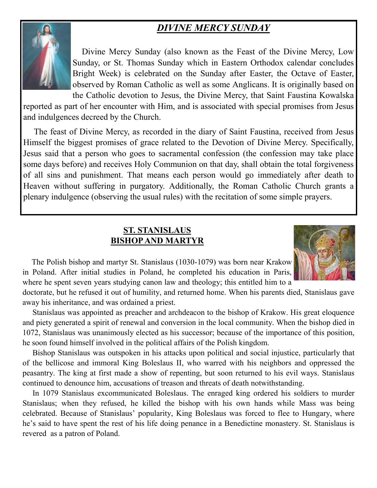## *DIVINE MERCY SUNDAY*



 Divine Mercy Sunday (also known as the Feast of the Divine Mercy, Low Sunday, or St. Thomas Sunday which in Eastern Orthodox calendar concludes Bright Week) is celebrated on the Sunday after Easter, the Octave of Easter, observed by Roman Catholic as well as some Anglicans. It is originally based on the Catholic devotion to Jesus, the Divine Mercy, that Saint Faustina Kowalska

reported as part of her encounter with Him, and is associated with special promises from Jesus and indulgences decreed by the Church.

 The feast of Divine Mercy, as recorded in the diary of Saint Faustina, received from Jesus Himself the biggest promises of grace related to the Devotion of Divine Mercy. Specifically, Jesus said that a person who goes to sacramental confession (the confession may take place some days before) and receives Holy Communion on that day, shall obtain the total forgiveness of all sins and punishment. That means each person would go immediately after death to Heaven without suffering in purgatory. Additionally, the Roman Catholic Church grants a plenary indulgence (observing the usual rules) with the recitation of some simple prayers.

#### **ST. STANISLAUS BISHOP AND MARTYR**



 The Polish bishop and martyr St. Stanislaus (1030-1079) was born near Krakow in Poland. After initial studies in Poland, he completed his education in Paris, where he spent seven years studying canon law and theology; this entitled him to a

doctorate, but he refused it out of humility, and returned home. When his parents died, Stanislaus gave away his inheritance, and was ordained a priest.

 Stanislaus was appointed as preacher and archdeacon to the bishop of Krakow. His great eloquence and piety generated a spirit of renewal and conversion in the local community. When the bishop died in 1072, Stanislaus was unanimously elected as his successor; because of the importance of this position, he soon found himself involved in the political affairs of the Polish kingdom.

 Bishop Stanislaus was outspoken in his attacks upon political and social injustice, particularly that of the bellicose and immoral King Boleslaus II, who warred with his neighbors and oppressed the peasantry. The king at first made a show of repenting, but soon returned to his evil ways. Stanislaus continued to denounce him, accusations of treason and threats of death notwithstanding.

 In 1079 Stanislaus excommunicated Boleslaus. The enraged king ordered his soldiers to murder Stanislaus; when they refused, he killed the bishop with his own hands while Mass was being celebrated. Because of Stanislaus' popularity, King Boleslaus was forced to flee to Hungary, where he's said to have spent the rest of his life doing penance in a Benedictine monastery. St. Stanislaus is revered as a patron of Poland.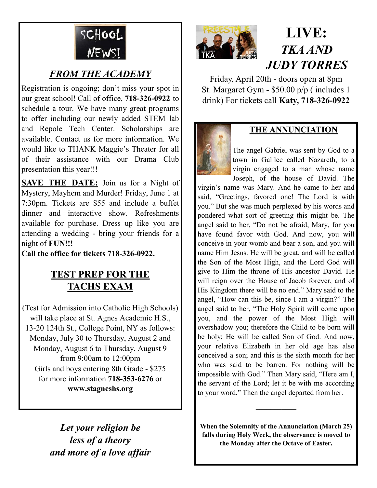

## *FROM THE ACADEMY*

Registration is ongoing; don't miss your spot in our great school! Call of office, **718-326-0922** to schedule a tour. We have many great programs to offer including our newly added STEM lab and Repole Tech Center. Scholarships are available. Contact us for more information. We would like to THANK Maggie's Theater for all of their assistance with our Drama Club presentation this year!!!

**SAVE THE DATE:** Join us for a Night of Mystery, Mayhem and Murder! Friday, June 1 at 7:30pm. Tickets are \$55 and include a buffet dinner and interactive show. Refreshments available for purchase. Dress up like you are attending a wedding - bring your friends for a night of **FUN!!!** 

**Call the office for tickets 718-326-0922.**

### **TEST PREP FOR THE TACHS EXAM**

(Test for Admission into Catholic High Schools) will take place at St. Agnes Academic H.S., 13-20 124th St., College Point, NY as follows: Monday, July 30 to Thursday, August 2 and Monday, August 6 to Thursday, August 9 from 9:00am to 12:00pm Girls and boys entering 8th Grade - \$275 for more information **718-353-6276** or **www.stagneshs.org**

> *Let your religion be less of a theory and more of a love affair*



## **LIVE:** *TKA AND JUDY TORRES*

Friday, April 20th - doors open at 8pm St. Margaret Gym - \$50.00 p/p ( includes 1 drink) For tickets call **Katy, 718-326-0922**



#### **THE ANNUNCIATION**

The angel Gabriel was sent by God to a town in Galilee called Nazareth, to a virgin engaged to a man whose name Joseph, of the house of David. The

virgin's name was Mary. And he came to her and said, "Greetings, favored one! The Lord is with you." But she was much perplexed by his words and pondered what sort of greeting this might be. The angel said to her, "Do not be afraid, Mary, for you have found favor with God. And now, you will conceive in your womb and bear a son, and you will name Him Jesus. He will be great, and will be called the Son of the Most High, and the Lord God will give to Him the throne of His ancestor David. He will reign over the House of Jacob forever, and of His Kingdom there will be no end." Mary said to the angel, "How can this be, since I am a virgin?" The angel said to her, "The Holy Spirit will come upon you, and the power of the Most High will overshadow you; therefore the Child to be born will be holy; He will be called Son of God. And now, your relative Elizabeth in her old age has also conceived a son; and this is the sixth month for her who was said to be barren. For nothing will be impossible with God." Then Mary said, "Here am I, the servant of the Lord; let it be with me according to your word." Then the angel departed from her.

**When the Solemnity of the Annunciation (March 25) falls during Holy Week, the observance is moved to the Monday after the Octave of Easter.**

**\_\_\_\_\_\_\_\_\_\_\_**